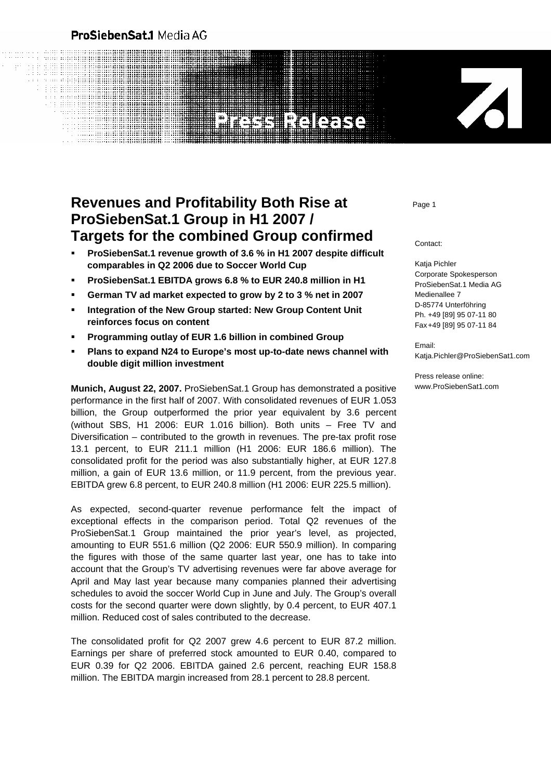# **ProSiebenSat.1 Media AG**

a an an

# **Revenues and Profitability Both Rise at** *Page 1* **ProSiebenSat.1 Group in H1 2007 / Targets for the combined Group confirmed**

- **ProSiebenSat.1 revenue growth of 3.6 % in H1 2007 despite difficult comparables in Q2 2006 due to Soccer World Cup**
- **ProSiebenSat.1 EBITDA grows 6.8 % to EUR 240.8 million in H1**
- **German TV ad market expected to grow by 2 to 3 % net in 2007**
- **Integration of the New Group started: New Group Content Unit reinforces focus on content**
- **Programming outlay of EUR 1.6 billion in combined Group**
- **Plans to expand N24 to Europe's most up-to-date news channel with double digit million investment**

**Munich, August 22, 2007.** ProSiebenSat.1 Group has demonstrated a positive performance in the first half of 2007. With consolidated revenues of EUR 1.053 billion, the Group outperformed the prior year equivalent by 3.6 percent (without SBS, H1 2006: EUR 1.016 billion). Both units – Free TV and Diversification – contributed to the growth in revenues. The pre-tax profit rose 13.1 percent, to EUR 211.1 million (H1 2006: EUR 186.6 million). The consolidated profit for the period was also substantially higher, at EUR 127.8 million, a gain of EUR 13.6 million, or 11.9 percent, from the previous year. EBITDA grew 6.8 percent, to EUR 240.8 million (H1 2006: EUR 225.5 million).

As expected, second-quarter revenue performance felt the impact of exceptional effects in the comparison period. Total Q2 revenues of the ProSiebenSat.1 Group maintained the prior year's level, as projected, amounting to EUR 551.6 million (Q2 2006: EUR 550.9 million). In comparing the figures with those of the same quarter last year, one has to take into account that the Group's TV advertising revenues were far above average for April and May last year because many companies planned their advertising schedules to avoid the soccer World Cup in June and July. The Group's overall costs for the second quarter were down slightly, by 0.4 percent, to EUR 407.1 million. Reduced cost of sales contributed to the decrease.

The consolidated profit for Q2 2007 grew 4.6 percent to EUR 87.2 million. Earnings per share of preferred stock amounted to EUR 0.40, compared to EUR 0.39 for Q2 2006. EBITDA gained 2.6 percent, reaching EUR 158.8 million. The EBITDA margin increased from 28.1 percent to 28.8 percent.

Contact:

Katja Pichler Corporate Spokesperson ProSiebenSat.1 Media AG Medienallee 7 D-85774 Unterföhring Ph. +49 [89] 95 07-11 80 Fax +49 [89] 95 07-11 84

Email: Katja.Pichler@ProSiebenSat1.com

Z

Press release online: www.ProSiebenSat1.com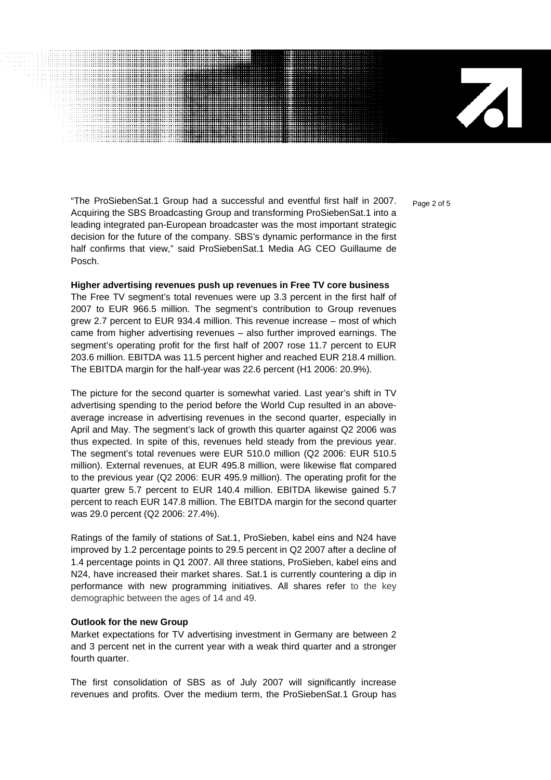$\mathbf{Z}$ 

"The ProSiebenSat.1 Group had a successful and eventful first half in 2007.  $P_{aq}$ <sub>2 of 5</sub> Acquiring the SBS Broadcasting Group and transforming ProSiebenSat.1 into a leading integrated pan-European broadcaster was the most important strategic decision for the future of the company. SBS's dynamic performance in the first half confirms that view," said ProSiebenSat.1 Media AG CEO Guillaume de Posch.

#### **Higher advertising revenues push up revenues in Free TV core business**

The Free TV segment's total revenues were up 3.3 percent in the first half of 2007 to EUR 966.5 million. The segment's contribution to Group revenues grew 2.7 percent to EUR 934.4 million. This revenue increase – most of which came from higher advertising revenues – also further improved earnings. The segment's operating profit for the first half of 2007 rose 11.7 percent to EUR 203.6 million. EBITDA was 11.5 percent higher and reached EUR 218.4 million. The EBITDA margin for the half-year was 22.6 percent (H1 2006: 20.9%).

The picture for the second quarter is somewhat varied. Last year's shift in TV advertising spending to the period before the World Cup resulted in an aboveaverage increase in advertising revenues in the second quarter, especially in April and May. The segment's lack of growth this quarter against Q2 2006 was thus expected. In spite of this, revenues held steady from the previous year. The segment's total revenues were EUR 510.0 million (Q2 2006: EUR 510.5 million). External revenues, at EUR 495.8 million, were likewise flat compared to the previous year (Q2 2006: EUR 495.9 million). The operating profit for the quarter grew 5.7 percent to EUR 140.4 million. EBITDA likewise gained 5.7 percent to reach EUR 147.8 million. The EBITDA margin for the second quarter was 29.0 percent (Q2 2006: 27.4%).

Ratings of the family of stations of Sat.1, ProSieben, kabel eins and N24 have improved by 1.2 percentage points to 29.5 percent in Q2 2007 after a decline of 1.4 percentage points in Q1 2007. All three stations, ProSieben, kabel eins and N24, have increased their market shares. Sat.1 is currently countering a dip in performance with new programming initiatives. All shares refer to the key demographic between the ages of 14 and 49.

#### **Outlook for the new Group**

Market expectations for TV advertising investment in Germany are between 2 and 3 percent net in the current year with a weak third quarter and a stronger fourth quarter.

The first consolidation of SBS as of July 2007 will significantly increase revenues and profits. Over the medium term, the ProSiebenSat.1 Group has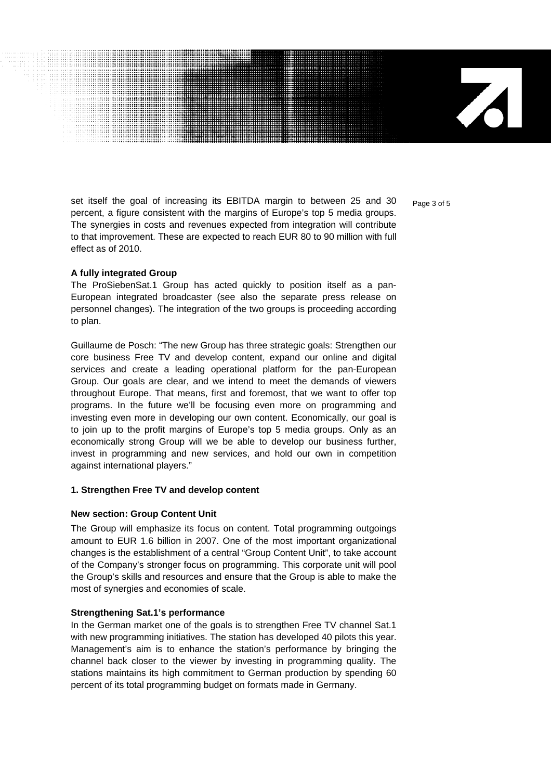71

set itself the goal of increasing its EBITDA margin to between 25 and 30  $_{\text{Page 3 of 5}}$ percent, a figure consistent with the margins of Europe's top 5 media groups. The synergies in costs and revenues expected from integration will contribute to that improvement. These are expected to reach EUR 80 to 90 million with full effect as of 2010.

#### **A fully integrated Group**

The ProSiebenSat.1 Group has acted quickly to position itself as a pan-European integrated broadcaster (see also the separate press release on personnel changes). The integration of the two groups is proceeding according to plan.

Guillaume de Posch: "The new Group has three strategic goals: Strengthen our core business Free TV and develop content, expand our online and digital services and create a leading operational platform for the pan-European Group. Our goals are clear, and we intend to meet the demands of viewers throughout Europe. That means, first and foremost, that we want to offer top programs. In the future we'll be focusing even more on programming and investing even more in developing our own content. Economically, our goal is to join up to the profit margins of Europe's top 5 media groups. Only as an economically strong Group will we be able to develop our business further, invest in programming and new services, and hold our own in competition against international players."

#### **1. Strengthen Free TV and develop content**

#### **New section: Group Content Unit**

The Group will emphasize its focus on content. Total programming outgoings amount to EUR 1.6 billion in 2007. One of the most important organizational changes is the establishment of a central "Group Content Unit", to take account of the Company's stronger focus on programming. This corporate unit will pool the Group's skills and resources and ensure that the Group is able to make the most of synergies and economies of scale.

#### **Strengthening Sat.1's performance**

In the German market one of the goals is to strengthen Free TV channel Sat.1 with new programming initiatives. The station has developed 40 pilots this year. Management's aim is to enhance the station's performance by bringing the channel back closer to the viewer by investing in programming quality. The stations maintains its high commitment to German production by spending 60 percent of its total programming budget on formats made in Germany.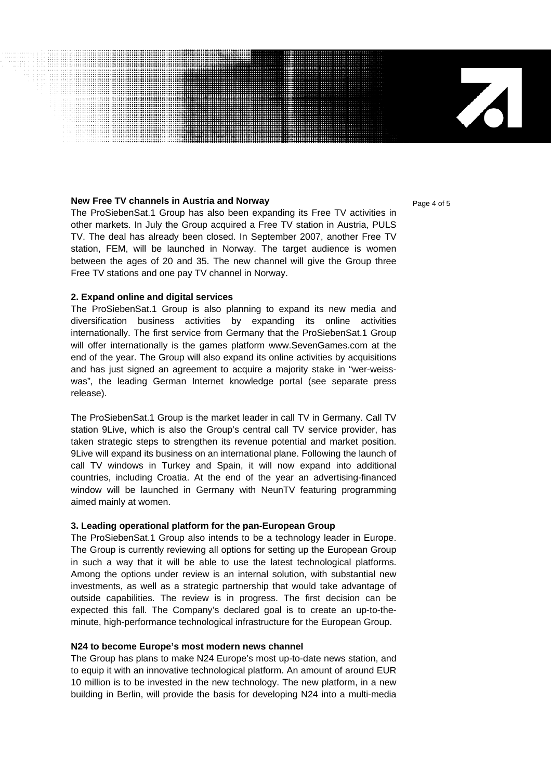### **New Free TV channels in Austria and Norway**  Page 4 of 5

The ProSiebenSat.1 Group has also been expanding its Free TV activities in other markets. In July the Group acquired a Free TV station in Austria, PULS TV. The deal has already been closed. In September 2007, another Free TV station, FEM, will be launched in Norway. The target audience is women between the ages of 20 and 35. The new channel will give the Group three Free TV stations and one pay TV channel in Norway.

# **2. Expand online and digital services**

The ProSiebenSat.1 Group is also planning to expand its new media and diversification business activities by expanding its online activities internationally. The first service from Germany that the ProSiebenSat.1 Group will offer internationally is the games platform www.SevenGames.com at the end of the year. The Group will also expand its online activities by acquisitions and has just signed an agreement to acquire a majority stake in "wer-weisswas", the leading German Internet knowledge portal (see separate press release).

The ProSiebenSat.1 Group is the market leader in call TV in Germany. Call TV station 9Live, which is also the Group's central call TV service provider, has taken strategic steps to strengthen its revenue potential and market position. 9Live will expand its business on an international plane. Following the launch of call TV windows in Turkey and Spain, it will now expand into additional countries, including Croatia. At the end of the year an advertising-financed window will be launched in Germany with NeunTV featuring programming aimed mainly at women.

# **3. Leading operational platform for the pan-European Group**

The ProSiebenSat.1 Group also intends to be a technology leader in Europe. The Group is currently reviewing all options for setting up the European Group in such a way that it will be able to use the latest technological platforms. Among the options under review is an internal solution, with substantial new investments, as well as a strategic partnership that would take advantage of outside capabilities. The review is in progress. The first decision can be expected this fall. The Company's declared goal is to create an up-to-theminute, high-performance technological infrastructure for the European Group.

# **N24 to become Europe's most modern news channel**

The Group has plans to make N24 Europe's most up-to-date news station, and to equip it with an innovative technological platform. An amount of around EUR 10 million is to be invested in the new technology. The new platform, in a new building in Berlin, will provide the basis for developing N24 into a multi-media

 $\mathbf{Z}$